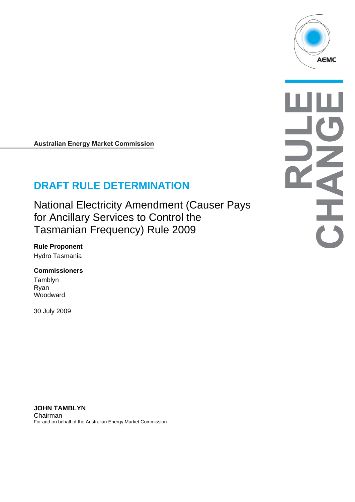

**Australian Energy Market Commission** 

# **DRAFT RULE DETERMINATION**

National Electricity Amendment (Causer Pays for Ancillary Services to Control the Tasmanian Frequency) Rule 2009

**Rule Proponent**  Hydro Tasmania

#### **Commissioners**

Tamblyn Ryan **Woodward** 

30 July 2009

**JOHN TAMBLYN** Chairman For and on behalf of the Australian Energy Market Commission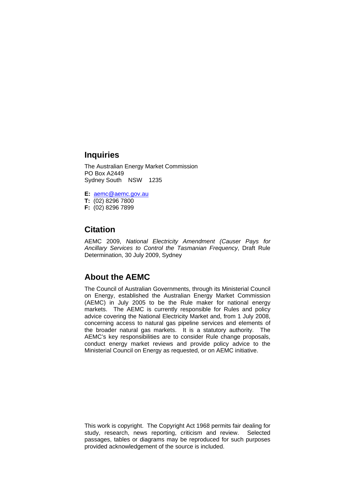# **Inquiries**

The Australian Energy Market Commission PO Box A2449 Sydney South NSW 1235

**E:** aemc@aemc.gov.au **T:** (02) 8296 7800

**F:** (02) 8296 7899

# **Citation**

AEMC 2009, *National Electricity Amendment (Causer Pays for Ancillary Services to Control the Tasmanian Frequency*, Draft Rule Determination, 30 July 2009, Sydney

# **About the AEMC**

The Council of Australian Governments, through its Ministerial Council on Energy, established the Australian Energy Market Commission (AEMC) in July 2005 to be the Rule maker for national energy markets. The AEMC is currently responsible for Rules and policy advice covering the National Electricity Market and, from 1 July 2008, concerning access to natural gas pipeline services and elements of the broader natural gas markets. It is a statutory authority. The AEMC's key responsibilities are to consider Rule change proposals, conduct energy market reviews and provide policy advice to the Ministerial Council on Energy as requested, or on AEMC initiative.

This work is copyright. The Copyright Act 1968 permits fair dealing for study, research, news reporting, criticism and review. Selected passages, tables or diagrams may be reproduced for such purposes provided acknowledgement of the source is included.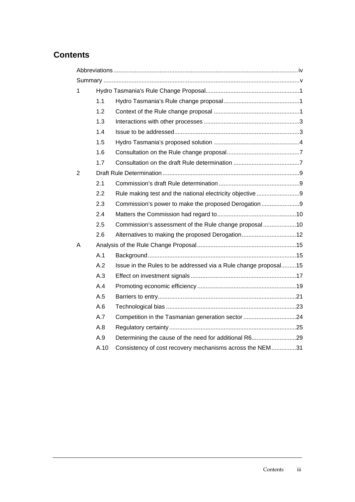# **Contents**

| 1              |      |                                                                 |  |
|----------------|------|-----------------------------------------------------------------|--|
|                | 1.1  |                                                                 |  |
|                | 1.2  |                                                                 |  |
|                | 1.3  |                                                                 |  |
|                | 1.4  |                                                                 |  |
|                | 1.5  |                                                                 |  |
|                | 1.6  |                                                                 |  |
|                | 1.7  |                                                                 |  |
| $\overline{2}$ |      |                                                                 |  |
|                | 2.1  |                                                                 |  |
|                | 2.2  | Rule making test and the national electricity objective 9       |  |
|                | 2.3  | Commission's power to make the proposed Derogation 9            |  |
|                | 2.4  |                                                                 |  |
|                | 2.5  | Commission's assessment of the Rule change proposal10           |  |
|                | 2.6  | Alternatives to making the proposed Derogation12                |  |
| A              |      |                                                                 |  |
|                | A.1  |                                                                 |  |
|                | A.2  | Issue in the Rules to be addressed via a Rule change proposal15 |  |
|                | A.3  |                                                                 |  |
|                | A.4  |                                                                 |  |
|                | A.5  |                                                                 |  |
|                | A.6  |                                                                 |  |
|                | A.7  | Competition in the Tasmanian generation sector 24               |  |
|                | A.8  |                                                                 |  |
|                | A.9  | Determining the cause of the need for additional R629           |  |
|                | A.10 | Consistency of cost recovery mechanisms across the NEM31        |  |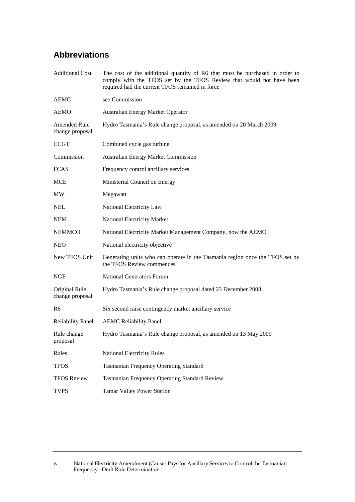# **Abbreviations**

| <b>Additional Cost</b>           | The cost of the additional quantity of R6 that must be purchased in order to<br>comply with the TFOS set by the TFOS Review that would not have been<br>required had the current TFOS remained in force |
|----------------------------------|---------------------------------------------------------------------------------------------------------------------------------------------------------------------------------------------------------|
| <b>AEMC</b>                      | see Commission                                                                                                                                                                                          |
| <b>AEMO</b>                      | <b>Australian Energy Market Operator</b>                                                                                                                                                                |
| Amended Rule<br>change proposal  | Hydro Tasmania's Rule change proposal, as amended on 20 March 2009                                                                                                                                      |
| <b>CCGT</b>                      | Combined cycle gas turbine                                                                                                                                                                              |
| Commission                       | <b>Australian Energy Market Commission</b>                                                                                                                                                              |
| <b>FCAS</b>                      | Frequency control ancillary services                                                                                                                                                                    |
| <b>MCE</b>                       | Ministerial Council on Energy                                                                                                                                                                           |
| <b>MW</b>                        | Megawatt                                                                                                                                                                                                |
| <b>NEL</b>                       | National Electricity Law                                                                                                                                                                                |
| <b>NEM</b>                       | National Electricity Market                                                                                                                                                                             |
| <b>NEMMCO</b>                    | National Electricity Market Management Company, now the AEMO                                                                                                                                            |
| <b>NEO</b>                       | National electricity objective                                                                                                                                                                          |
| New TFOS Unit                    | Generating units who can operate in the Tasmania region once the TFOS set by<br>the TFOS Review commences                                                                                               |
| <b>NGF</b>                       | <b>National Generators Forum</b>                                                                                                                                                                        |
| Original Rule<br>change proposal | Hydro Tasmania's Rule change proposal dated 23 December 2008                                                                                                                                            |
| R <sub>6</sub>                   | Six second raise contingency market ancillary service                                                                                                                                                   |
| <b>Reliability Panel</b>         | <b>AEMC Reliability Panel</b>                                                                                                                                                                           |
| Rule change<br>proposal          | Hydro Tasmania's Rule change proposal, as amended on 13 May 2009                                                                                                                                        |
| Rules                            | <b>National Electricity Rules</b>                                                                                                                                                                       |
| <b>TFOS</b>                      | Tasmanian Frequency Operating Standard                                                                                                                                                                  |
| <b>TFOS Review</b>               | Tasmanian Frequency Operating Standard Review                                                                                                                                                           |
| <b>TVPS</b>                      | <b>Tamar Valley Power Station</b>                                                                                                                                                                       |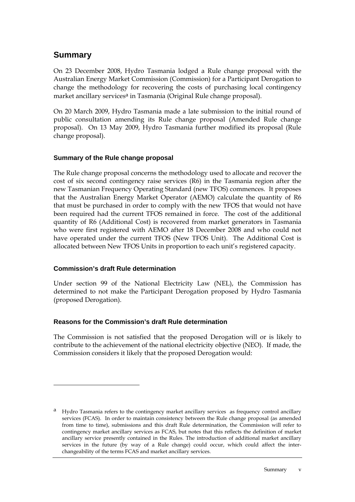# **Summary**

On 23 December 2008, Hydro Tasmania lodged a Rule change proposal with the Australian Energy Market Commission (Commission) for a Participant Derogation to change the methodology for recovering the costs of purchasing local contingency market ancillary services<sup>a</sup> in Tasmania (Original Rule change proposal).

On 20 March 2009, Hydro Tasmania made a late submission to the initial round of public consultation amending its Rule change proposal (Amended Rule change proposal). On 13 May 2009, Hydro Tasmania further modified its proposal (Rule change proposal).

#### **Summary of the Rule change proposal**

The Rule change proposal concerns the methodology used to allocate and recover the cost of six second contingency raise services (R6) in the Tasmania region after the new Tasmanian Frequency Operating Standard (new TFOS) commences. It proposes that the Australian Energy Market Operator (AEMO) calculate the quantity of R6 that must be purchased in order to comply with the new TFOS that would not have been required had the current TFOS remained in force. The cost of the additional quantity of R6 (Additional Cost) is recovered from market generators in Tasmania who were first registered with AEMO after 18 December 2008 and who could not have operated under the current TFOS (New TFOS Unit). The Additional Cost is allocated between New TFOS Units in proportion to each unit's registered capacity.

#### **Commission's draft Rule determination**

Under section 99 of the National Electricity Law (NEL), the Commission has determined to not make the Participant Derogation proposed by Hydro Tasmania (proposed Derogation).

#### **Reasons for the Commission's draft Rule determination**

The Commission is not satisfied that the proposed Derogation will or is likely to contribute to the achievement of the national electricity objective (NEO). If made, the Commission considers it likely that the proposed Derogation would:

<sup>&</sup>lt;sup>a</sup> Hydro Tasmania refers to the contingency market ancillary services as frequency control ancillary services (FCAS). In order to maintain consistency between the Rule change proposal (as amended from time to time), submissions and this draft Rule determination, the Commission will refer to contingency market ancillary services as FCAS, but notes that this reflects the definition of market ancillary service presently contained in the Rules. The introduction of additional market ancillary services in the future (by way of a Rule change) could occur, which could affect the interchangeability of the terms FCAS and market ancillary services.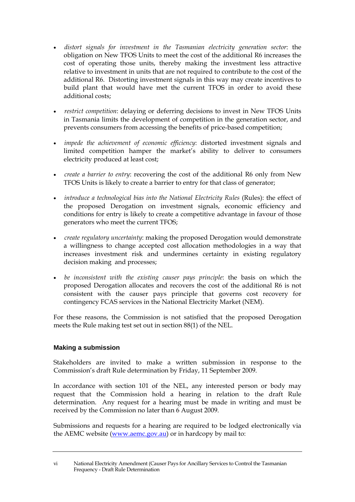- *distort signals for investment in the Tasmanian electricity generation sector*: the obligation on New TFOS Units to meet the cost of the additional R6 increases the cost of operating those units, thereby making the investment less attractive relative to investment in units that are not required to contribute to the cost of the additional R6. Distorting investment signals in this way may create incentives to build plant that would have met the current TFOS in order to avoid these additional costs;
- *restrict competition*: delaying or deferring decisions to invest in New TFOS Units in Tasmania limits the development of competition in the generation sector, and prevents consumers from accessing the benefits of price-based competition;
- *impede the achievement of economic efficiency*: distorted investment signals and limited competition hamper the market's ability to deliver to consumers electricity produced at least cost;
- *create a barrier to entry*: recovering the cost of the additional R6 only from New TFOS Units is likely to create a barrier to entry for that class of generator;
- *introduce a technological bias into the National Electricity Rules* (Rules): the effect of the proposed Derogation on investment signals, economic efficiency and conditions for entry is likely to create a competitive advantage in favour of those generators who meet the current TFOS;
- *create regulatory uncertainty*: making the proposed Derogation would demonstrate a willingness to change accepted cost allocation methodologies in a way that increases investment risk and undermines certainty in existing regulatory decision making and processes;
- *be inconsistent with the existing causer pays principle*: the basis on which the proposed Derogation allocates and recovers the cost of the additional R6 is not consistent with the causer pays principle that governs cost recovery for contingency FCAS services in the National Electricity Market (NEM).

For these reasons, the Commission is not satisfied that the proposed Derogation meets the Rule making test set out in section 88(1) of the NEL.

#### **Making a submission**

Stakeholders are invited to make a written submission in response to the Commission's draft Rule determination by Friday, 11 September 2009.

In accordance with section 101 of the NEL, any interested person or body may request that the Commission hold a hearing in relation to the draft Rule determination. Any request for a hearing must be made in writing and must be received by the Commission no later than 6 August 2009.

Submissions and requests for a hearing are required to be lodged electronically via the AEMC website (www.aemc.gov.au) or in hardcopy by mail to:

vi National Electricity Amendment (Causer Pays for Ancillary Services to Control the Tasmanian Frequency - Draft Rule Determination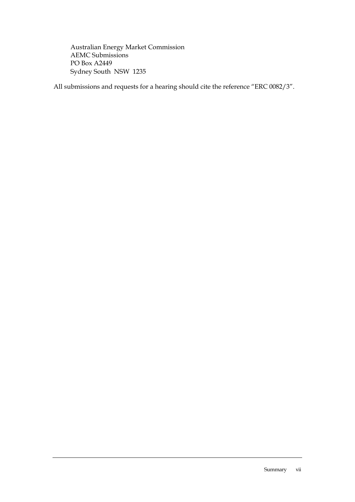Australian Energy Market Commission AEMC Submissions PO Box A2449 Sydney South NSW 1235

All submissions and requests for a hearing should cite the reference "ERC 0082/3".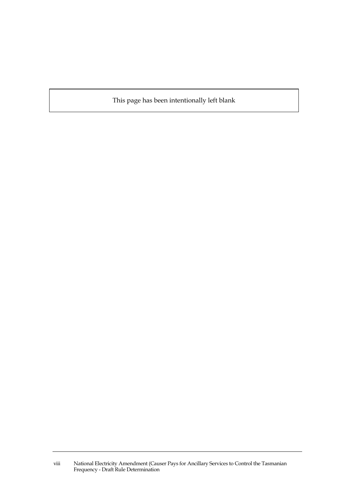This page has been intentionally left blank

viii National Electricity Amendment (Causer Pays for Ancillary Services to Control the Tasmanian Frequency - Draft Rule Determination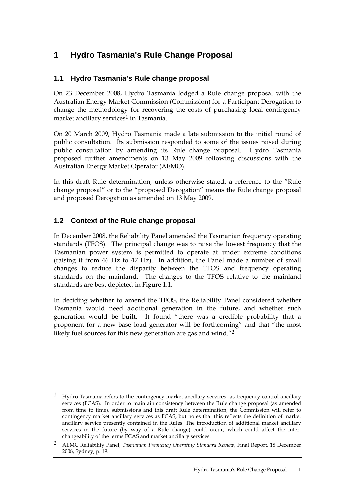# **1 Hydro Tasmania's Rule Change Proposal**

## **1.1 Hydro Tasmania's Rule change proposal**

On 23 December 2008, Hydro Tasmania lodged a Rule change proposal with the Australian Energy Market Commission (Commission) for a Participant Derogation to change the methodology for recovering the costs of purchasing local contingency market ancillary services<sup>1</sup> in Tasmania.

On 20 March 2009, Hydro Tasmania made a late submission to the initial round of public consultation. Its submission responded to some of the issues raised during public consultation by amending its Rule change proposal. Hydro Tasmania proposed further amendments on 13 May 2009 following discussions with the Australian Energy Market Operator (AEMO).

In this draft Rule determination, unless otherwise stated, a reference to the "Rule change proposal" or to the "proposed Derogation" means the Rule change proposal and proposed Derogation as amended on 13 May 2009.

# **1.2 Context of the Rule change proposal**

-

In December 2008, the Reliability Panel amended the Tasmanian frequency operating standards (TFOS). The principal change was to raise the lowest frequency that the Tasmanian power system is permitted to operate at under extreme conditions (raising it from 46 Hz to 47 Hz). In addition, the Panel made a number of small changes to reduce the disparity between the TFOS and frequency operating standards on the mainland. The changes to the TFOS relative to the mainland standards are best depicted in Figure 1.1.

In deciding whether to amend the TFOS, the Reliability Panel considered whether Tasmania would need additional generation in the future, and whether such generation would be built. It found "there was a credible probability that a proponent for a new base load generator will be forthcoming" and that "the most likely fuel sources for this new generation are gas and wind."<sup>2</sup>

<sup>1</sup> Hydro Tasmania refers to the contingency market ancillary services as frequency control ancillary services (FCAS). In order to maintain consistency between the Rule change proposal (as amended from time to time), submissions and this draft Rule determination, the Commission will refer to contingency market ancillary services as FCAS, but notes that this reflects the definition of market ancillary service presently contained in the Rules. The introduction of additional market ancillary services in the future (by way of a Rule change) could occur, which could affect the interchangeability of the terms FCAS and market ancillary services.

<sup>2</sup> AEMC Reliability Panel, *Tasmanian Frequency Operating Standard Review*, Final Report, 18 December 2008, Sydney, p. 19.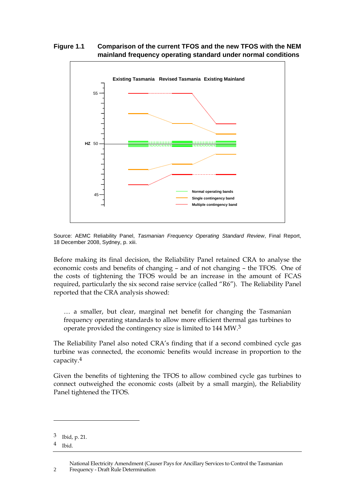#### **Figure 1.1 Comparison of the current TFOS and the new TFOS with the NEM mainland frequency operating standard under normal conditions**



Source: AEMC Reliability Panel, *Tasmanian Frequency Operating Standard Review*, Final Report, 18 December 2008, Sydney, p. xiii.

Before making its final decision, the Reliability Panel retained CRA to analyse the economic costs and benefits of changing – and of not changing – the TFOS. One of the costs of tightening the TFOS would be an increase in the amount of FCAS required, particularly the six second raise service (called "R6"). The Reliability Panel reported that the CRA analysis showed:

… a smaller, but clear, marginal net benefit for changing the Tasmanian frequency operating standards to allow more efficient thermal gas turbines to operate provided the contingency size is limited to 144 MW.3

The Reliability Panel also noted CRA's finding that if a second combined cycle gas turbine was connected, the economic benefits would increase in proportion to the capacity.4

Given the benefits of tightening the TFOS to allow combined cycle gas turbines to connect outweighed the economic costs (albeit by a small margin), the Reliability Panel tightened the TFOS.

-

<sup>3</sup> Ibid, p. 21.

<sup>4</sup> Ibid.

 $\overline{2}$ National Electricity Amendment (Causer Pays for Ancillary Services to Control the Tasmanian Frequency - Draft Rule Determination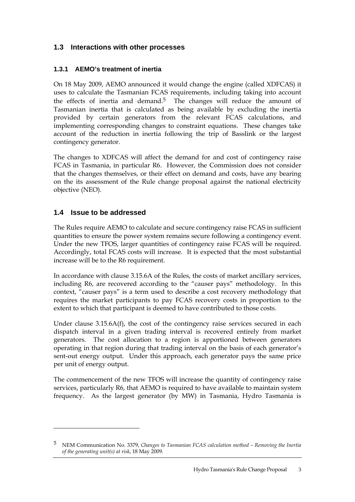## **1.3 Interactions with other processes**

### **1.3.1 AEMO's treatment of inertia**

On 18 May 2009, AEMO announced it would change the engine (called XDFCAS) it uses to calculate the Tasmanian FCAS requirements, including taking into account the effects of inertia and demand.<sup>5</sup> The changes will reduce the amount of Tasmanian inertia that is calculated as being available by excluding the inertia provided by certain generators from the relevant FCAS calculations, and implementing corresponding changes to constraint equations. These changes take account of the reduction in inertia following the trip of Basslink or the largest contingency generator.

The changes to XDFCAS will affect the demand for and cost of contingency raise FCAS in Tasmania, in particular R6. However, the Commission does not consider that the changes themselves, or their effect on demand and costs, have any bearing on the its assessment of the Rule change proposal against the national electricity objective (NEO).

## **1.4 Issue to be addressed**

<u>.</u>

The Rules require AEMO to calculate and secure contingency raise FCAS in sufficient quantities to ensure the power system remains secure following a contingency event. Under the new TFOS, larger quantities of contingency raise FCAS will be required. Accordingly, total FCAS costs will increase. It is expected that the most substantial increase will be to the R6 requirement.

In accordance with clause 3.15.6A of the Rules, the costs of market ancillary services, including R6, are recovered according to the "causer pays" methodology. In this context, "causer pays" is a term used to describe a cost recovery methodology that requires the market participants to pay FCAS recovery costs in proportion to the extent to which that participant is deemed to have contributed to those costs.

Under clause 3.15.6A(f), the cost of the contingency raise services secured in each dispatch interval in a given trading interval is recovered entirely from market generators. The cost allocation to a region is apportioned between generators operating in that region during that trading interval on the basis of each generator's sent-out energy output. Under this approach, each generator pays the same price per unit of energy output.

The commencement of the new TFOS will increase the quantity of contingency raise services, particularly R6, that AEMO is required to have available to maintain system frequency. As the largest generator (by MW) in Tasmania, Hydro Tasmania is

<sup>5</sup> NEM Communication No. 3379, *Changes to Tasmanian FCAS calculation method – Removing the Inertia of the generating unit(s) at risk*, 18 May 2009.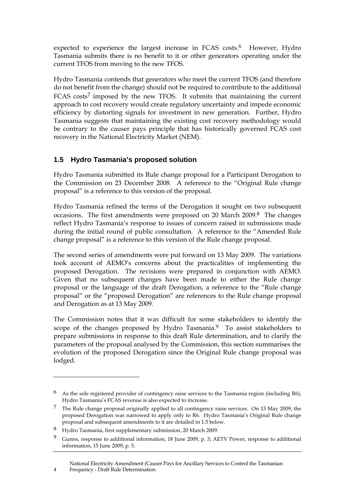expected to experience the largest increase in FCAS costs.<sup>6</sup> However, Hydro Tasmania submits there is no benefit to it or other generators operating under the current TFOS from moving to the new TFOS.

Hydro Tasmania contends that generators who meet the current TFOS (and therefore do not benefit from the change) should not be required to contribute to the additional FCAS costs<sup>7</sup> imposed by the new TFOS. It submits that maintaining the current approach to cost recovery would create regulatory uncertainty and impede economic efficiency by distorting signals for investment in new generation. Further, Hydro Tasmania suggests that maintaining the existing cost recovery methodology would be contrary to the causer pays principle that has historically governed FCAS cost recovery in the National Electricity Market (NEM).

## **1.5 Hydro Tasmania's proposed solution**

Hydro Tasmania submitted its Rule change proposal for a Participant Derogation to the Commission on 23 December 2008. A reference to the "Original Rule change proposal" is a reference to this version of the proposal.

Hydro Tasmania refined the terms of the Derogation it sought on two subsequent occasions. The first amendments were proposed on 20 March 2009.8 The changes reflect Hydro Tasmania's response to issues of concern raised in submissions made during the initial round of public consultation. A reference to the "Amended Rule change proposal" is a reference to this version of the Rule change proposal.

The second series of amendments were put forward on 13 May 2009. The variations took account of AEMO's concerns about the practicalities of implementing the proposed Derogation. The revisions were prepared in conjunction with AEMO. Given that no subsequent changes have been made to either the Rule change proposal or the language of the draft Derogation, a reference to the "Rule change proposal" or the "proposed Derogation" are references to the Rule change proposal and Derogation as at 13 May 2009.

The Commission notes that it was difficult for some stakeholders to identify the scope of the changes proposed by Hydro Tasmania.9 To assist stakeholders to prepare submissions in response to this draft Rule determination, and to clarify the parameters of the proposal analysed by the Commission, this section summarises the evolution of the proposed Derogation since the Original Rule change proposal was lodged.

4

<u>.</u>

 $6$  As the sole registered provider of contingency raise services to the Tasmania region (including R6), Hydro Tasmania's FCAS revenue is also expected to increase.

<sup>7</sup> The Rule change proposal originally applied to all contingency raise services. On 13 May 2009, the proposed Derogation was narrowed to apply only to R6. Hydro Tasmania's Original Rule change proposal and subsequent amendments to it are detailed in 1.5 below.

<sup>8</sup> Hydro Tasmania, first supplementary submission, 20 March 2009.

<sup>9</sup> Gunns, response to additional information, 18 June 2009, p. 3; AETV Power, response to additional information, 15 June 2009, p. 5.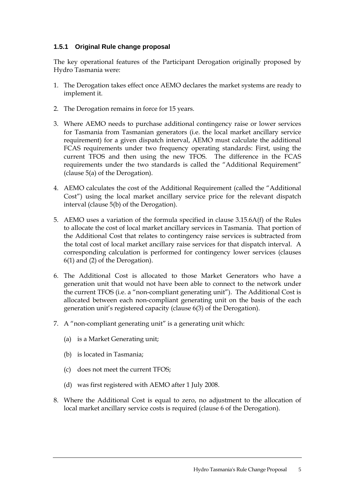#### **1.5.1 Original Rule change proposal**

The key operational features of the Participant Derogation originally proposed by Hydro Tasmania were:

- 1. The Derogation takes effect once AEMO declares the market systems are ready to implement it.
- 2. The Derogation remains in force for 15 years.
- 3. Where AEMO needs to purchase additional contingency raise or lower services for Tasmania from Tasmanian generators (i.e. the local market ancillary service requirement) for a given dispatch interval, AEMO must calculate the additional FCAS requirements under two frequency operating standards: First, using the current TFOS and then using the new TFOS. The difference in the FCAS requirements under the two standards is called the "Additional Requirement" (clause 5(a) of the Derogation).
- 4. AEMO calculates the cost of the Additional Requirement (called the "Additional Cost") using the local market ancillary service price for the relevant dispatch interval (clause 5(b) of the Derogation).
- 5. AEMO uses a variation of the formula specified in clause 3.15.6A(f) of the Rules to allocate the cost of local market ancillary services in Tasmania. That portion of the Additional Cost that relates to contingency raise services is subtracted from the total cost of local market ancillary raise services for that dispatch interval. A corresponding calculation is performed for contingency lower services (clauses 6(1) and (2) of the Derogation).
- 6. The Additional Cost is allocated to those Market Generators who have a generation unit that would not have been able to connect to the network under the current TFOS (i.e. a "non-compliant generating unit"). The Additional Cost is allocated between each non-compliant generating unit on the basis of the each generation unit's registered capacity (clause 6(3) of the Derogation).
- 7. A "non-compliant generating unit" is a generating unit which:
	- (a) is a Market Generating unit;
	- (b) is located in Tasmania;
	- (c) does not meet the current TFOS;
	- (d) was first registered with AEMO after 1 July 2008.
- 8. Where the Additional Cost is equal to zero, no adjustment to the allocation of local market ancillary service costs is required (clause 6 of the Derogation).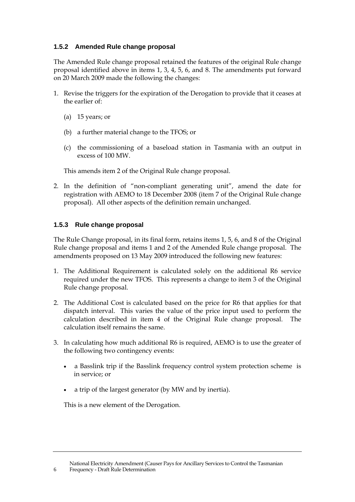#### **1.5.2 Amended Rule change proposal**

The Amended Rule change proposal retained the features of the original Rule change proposal identified above in items 1, 3, 4, 5, 6, and 8. The amendments put forward on 20 March 2009 made the following the changes:

- 1. Revise the triggers for the expiration of the Derogation to provide that it ceases at the earlier of:
	- (a) 15 years; or
	- (b) a further material change to the TFOS; or
	- (c) the commissioning of a baseload station in Tasmania with an output in excess of 100 MW.

This amends item 2 of the Original Rule change proposal.

2. In the definition of "non-compliant generating unit", amend the date for registration with AEMO to 18 December 2008 (item 7 of the Original Rule change proposal). All other aspects of the definition remain unchanged.

#### **1.5.3 Rule change proposal**

The Rule Change proposal, in its final form, retains items 1, 5, 6, and 8 of the Original Rule change proposal and items 1 and 2 of the Amended Rule change proposal. The amendments proposed on 13 May 2009 introduced the following new features:

- 1. The Additional Requirement is calculated solely on the additional R6 service required under the new TFOS. This represents a change to item 3 of the Original Rule change proposal.
- 2. The Additional Cost is calculated based on the price for R6 that applies for that dispatch interval. This varies the value of the price input used to perform the calculation described in item 4 of the Original Rule change proposal. The calculation itself remains the same.
- 3. In calculating how much additional R6 is required, AEMO is to use the greater of the following two contingency events:
	- a Basslink trip if the Basslink frequency control system protection scheme is in service; or
	- a trip of the largest generator (by MW and by inertia).

This is a new element of the Derogation.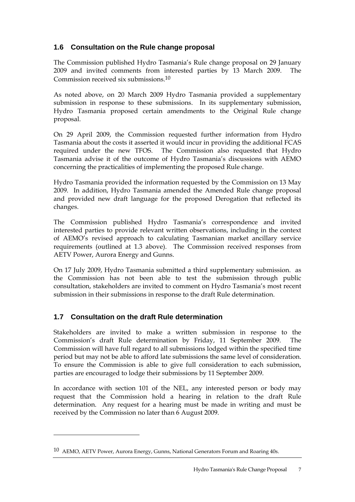# **1.6 Consultation on the Rule change proposal**

The Commission published Hydro Tasmania's Rule change proposal on 29 January 2009 and invited comments from interested parties by 13 March 2009. The Commission received six submissions.10

As noted above, on 20 March 2009 Hydro Tasmania provided a supplementary submission in response to these submissions. In its supplementary submission, Hydro Tasmania proposed certain amendments to the Original Rule change proposal.

On 29 April 2009, the Commission requested further information from Hydro Tasmania about the costs it asserted it would incur in providing the additional FCAS required under the new TFOS. The Commission also requested that Hydro Tasmania advise it of the outcome of Hydro Tasmania's discussions with AEMO concerning the practicalities of implementing the proposed Rule change.

Hydro Tasmania provided the information requested by the Commission on 13 May 2009. In addition, Hydro Tasmania amended the Amended Rule change proposal and provided new draft language for the proposed Derogation that reflected its changes.

The Commission published Hydro Tasmania's correspondence and invited interested parties to provide relevant written observations, including in the context of AEMO's revised approach to calculating Tasmanian market ancillary service requirements (outlined at 1.3 above). The Commission received responses from AETV Power, Aurora Energy and Gunns.

On 17 July 2009, Hydro Tasmania submitted a third supplementary submission. as the Commission has not been able to test the submission through public consultation, stakeholders are invited to comment on Hydro Tasmania's most recent submission in their submissions in response to the draft Rule determination.

## **1.7 Consultation on the draft Rule determination**

<u>.</u>

Stakeholders are invited to make a written submission in response to the Commission's draft Rule determination by Friday, 11 September 2009. The Commission will have full regard to all submissions lodged within the specified time period but may not be able to afford late submissions the same level of consideration. To ensure the Commission is able to give full consideration to each submission, parties are encouraged to lodge their submissions by 11 September 2009.

In accordance with section 101 of the NEL, any interested person or body may request that the Commission hold a hearing in relation to the draft Rule determination. Any request for a hearing must be made in writing and must be received by the Commission no later than 6 August 2009.

<sup>10</sup> AEMO, AETV Power, Aurora Energy, Gunns, National Generators Forum and Roaring 40s.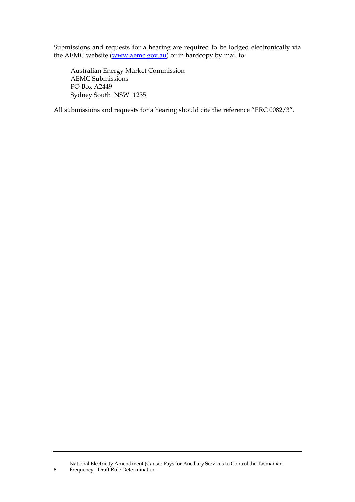Submissions and requests for a hearing are required to be lodged electronically via the AEMC website (www.aemc.gov.au) or in hardcopy by mail to:

Australian Energy Market Commission AEMC Submissions PO Box A2449 Sydney South NSW 1235

All submissions and requests for a hearing should cite the reference "ERC 0082/3".

8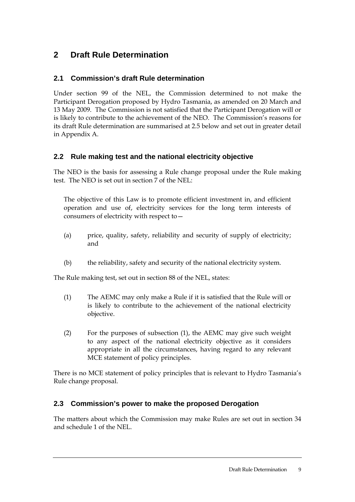# **2 Draft Rule Determination**

# **2.1 Commission's draft Rule determination**

Under section 99 of the NEL, the Commission determined to not make the Participant Derogation proposed by Hydro Tasmania, as amended on 20 March and 13 May 2009. The Commission is not satisfied that the Participant Derogation will or is likely to contribute to the achievement of the NEO. The Commission's reasons for its draft Rule determination are summarised at 2.5 below and set out in greater detail in Appendix A.

# **2.2 Rule making test and the national electricity objective**

The NEO is the basis for assessing a Rule change proposal under the Rule making test. The NEO is set out in section 7 of the NEL:

The objective of this Law is to promote efficient investment in, and efficient operation and use of, electricity services for the long term interests of consumers of electricity with respect to—

- (a) price, quality, safety, reliability and security of supply of electricity; and
- (b) the reliability, safety and security of the national electricity system.

The Rule making test, set out in section 88 of the NEL, states:

- (1) The AEMC may only make a Rule if it is satisfied that the Rule will or is likely to contribute to the achievement of the national electricity objective.
- (2) For the purposes of subsection (1), the AEMC may give such weight to any aspect of the national electricity objective as it considers appropriate in all the circumstances, having regard to any relevant MCE statement of policy principles.

There is no MCE statement of policy principles that is relevant to Hydro Tasmania's Rule change proposal.

# **2.3 Commission's power to make the proposed Derogation**

The matters about which the Commission may make Rules are set out in section 34 and schedule 1 of the NEL.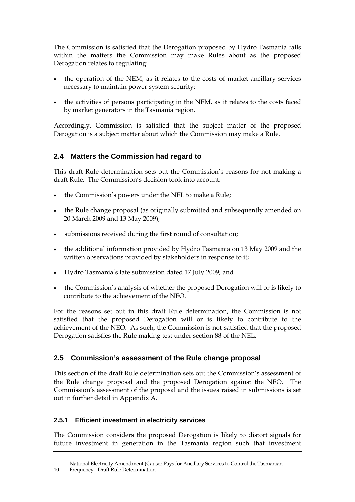The Commission is satisfied that the Derogation proposed by Hydro Tasmania falls within the matters the Commission may make Rules about as the proposed Derogation relates to regulating:

- the operation of the NEM, as it relates to the costs of market ancillary services necessary to maintain power system security;
- the activities of persons participating in the NEM, as it relates to the costs faced by market generators in the Tasmania region.

Accordingly, Commission is satisfied that the subject matter of the proposed Derogation is a subject matter about which the Commission may make a Rule.

## **2.4 Matters the Commission had regard to**

This draft Rule determination sets out the Commission's reasons for not making a draft Rule. The Commission's decision took into account:

- the Commission's powers under the NEL to make a Rule;
- the Rule change proposal (as originally submitted and subsequently amended on 20 March 2009 and 13 May 2009);
- submissions received during the first round of consultation;
- the additional information provided by Hydro Tasmania on 13 May 2009 and the written observations provided by stakeholders in response to it;
- Hydro Tasmania's late submission dated 17 July 2009; and
- the Commission's analysis of whether the proposed Derogation will or is likely to contribute to the achievement of the NEO.

For the reasons set out in this draft Rule determination, the Commission is not satisfied that the proposed Derogation will or is likely to contribute to the achievement of the NEO. As such, the Commission is not satisfied that the proposed Derogation satisfies the Rule making test under section 88 of the NEL.

#### **2.5 Commission's assessment of the Rule change proposal**

This section of the draft Rule determination sets out the Commission's assessment of the Rule change proposal and the proposed Derogation against the NEO. The Commission's assessment of the proposal and the issues raised in submissions is set out in further detail in Appendix A.

#### **2.5.1 Efficient investment in electricity services**

The Commission considers the proposed Derogation is likely to distort signals for future investment in generation in the Tasmania region such that investment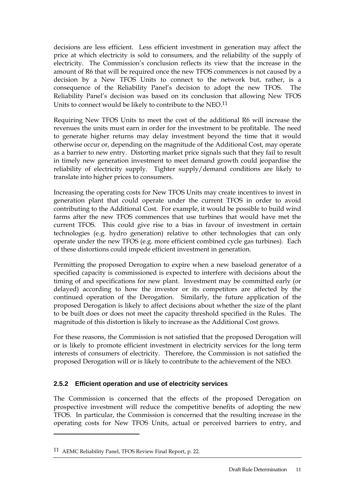decisions are less efficient. Less efficient investment in generation may affect the price at which electricity is sold to consumers, and the reliability of the supply of electricity. The Commission's conclusion reflects its view that the increase in the amount of R6 that will be required once the new TFOS commences is not caused by a decision by a New TFOS Units to connect to the network but, rather, is a consequence of the Reliability Panel's decision to adopt the new TFOS. The Reliability Panel's decision was based on its conclusion that allowing New TFOS Units to connect would be likely to contribute to the NEO.11

Requiring New TFOS Units to meet the cost of the additional R6 will increase the revenues the units must earn in order for the investment to be profitable. The need to generate higher returns may delay investment beyond the time that it would otherwise occur or, depending on the magnitude of the Additional Cost, may operate as a barrier to new entry. Distorting market price signals such that they fail to result in timely new generation investment to meet demand growth could jeopardise the reliability of electricity supply. Tighter supply/demand conditions are likely to translate into higher prices to consumers.

Increasing the operating costs for New TFOS Units may create incentives to invest in generation plant that could operate under the current TFOS in order to avoid contributing to the Additional Cost. For example, it would be possible to build wind farms after the new TFOS commences that use turbines that would have met the current TFOS. This could give rise to a bias in favour of investment in certain technologies (e.g. hydro generation) relative to other technologies that can only operate under the new TFOS (e.g. more efficient combined cycle gas turbines). Each of these distortions could impede efficient investment in generation.

Permitting the proposed Derogation to expire when a new baseload generator of a specified capacity is commissioned is expected to interfere with decisions about the timing of and specifications for new plant. Investment may be committed early (or delayed) according to how the investor or its competitors are affected by the continued operation of the Derogation. Similarly, the future application of the proposed Derogation is likely to affect decisions about whether the size of the plant to be built does or does not meet the capacity threshold specified in the Rules. The magnitude of this distortion is likely to increase as the Additional Cost grows.

For these reasons, the Commission is not satisfied that the proposed Derogation will or is likely to promote efficient investment in electricity services for the long term interests of consumers of electricity. Therefore, the Commission is not satisfied the proposed Derogation will or is likely to contribute to the achievement of the NEO.

#### **2.5.2 Efficient operation and use of electricity services**

The Commission is concerned that the effects of the proposed Derogation on prospective investment will reduce the competitive benefits of adopting the new TFOS. In particular, the Commission is concerned that the resulting increase in the operating costs for New TFOS Units, actual or perceived barriers to entry, and

<sup>11</sup> AEMC Reliability Panel, TFOS Review Final Report, p. 22.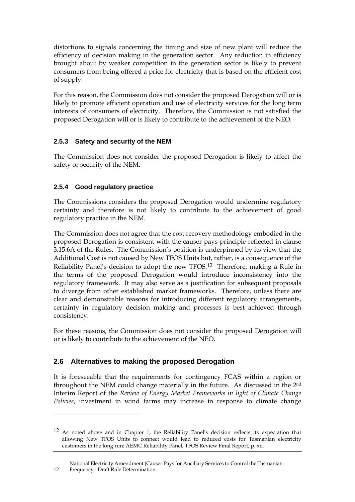distortions to signals concerning the timing and size of new plant will reduce the efficiency of decision making in the generation sector. Any reduction in efficiency brought about by weaker competition in the generation sector is likely to prevent consumers from being offered a price for electricity that is based on the efficient cost of supply.

For this reason, the Commission does not consider the proposed Derogation will or is likely to promote efficient operation and use of electricity services for the long term interests of consumers of electricity. Therefore, the Commission is not satisfied the proposed Derogation will or is likely to contribute to the achievement of the NEO.

### **2.5.3 Safety and security of the NEM**

The Commission does not consider the proposed Derogation is likely to affect the safety or security of the NEM.

## **2.5.4 Good regulatory practice**

 $\overline{a}$ 

The Commissions considers the proposed Derogation would undermine regulatory certainty and therefore is not likely to contribute to the achievement of good regulatory practice in the NEM.

The Commission does not agree that the cost recovery methodology embodied in the proposed Derogation is consistent with the causer pays principle reflected in clause 3.15.6A of the Rules. The Commission's position is underpinned by its view that the Additional Cost is not caused by New TFOS Units but, rather, is a consequence of the Reliability Panel's decision to adopt the new TFOS.12 Therefore, making a Rule in the terms of the proposed Derogation would introduce inconsistency into the regulatory framework. It may also serve as a justification for subsequent proposals to diverge from other established market frameworks. Therefore, unless there are clear and demonstrable reasons for introducing different regulatory arrangements, certainty in regulatory decision making and processes is best achieved through consistency.

For these reasons, the Commission does not consider the proposed Derogation will or is likely to contribute to the achievement of the NEO.

## **2.6 Alternatives to making the proposed Derogation**

It is foreseeable that the requirements for contingency FCAS within a region or throughout the NEM could change materially in the future. As discussed in the 2<sup>nd</sup> Interim Report of the *Review of Energy Market Frameworks in light of Climate Change Policies*, investment in wind farms may increase in response to climate change

<sup>12</sup> As noted above and in Chapter 1, the Reliability Panel's decision reflects its expectation that allowing New TFOS Units to connect would lead to reduced costs for Tasmanian electricity customers in the long run: AEMC Reliability Panel, TFOS Review Final Report, p. xii.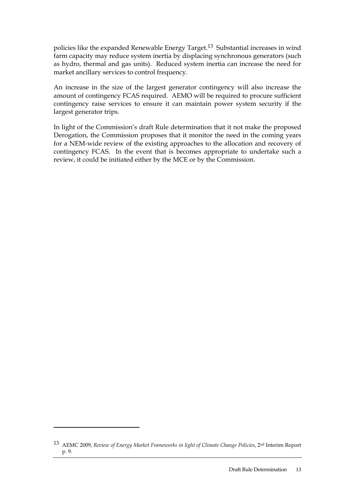policies like the expanded Renewable Energy Target.13 Substantial increases in wind farm capacity may reduce system inertia by displacing synchronous generators (such as hydro, thermal and gas units). Reduced system inertia can increase the need for market ancillary services to control frequency.

An increase in the size of the largest generator contingency will also increase the amount of contingency FCAS required. AEMO will be required to procure sufficient contingency raise services to ensure it can maintain power system security if the largest generator trips.

In light of the Commission's draft Rule determination that it not make the proposed Derogation, the Commission proposes that it monitor the need in the coming years for a NEM-wide review of the existing approaches to the allocation and recovery of contingency FCAS. In the event that is becomes appropriate to undertake such a review, it could be initiated either by the MCE or by the Commission.

<sup>13</sup> AEMC 2009, *Review of Energy Market Frameworks in light of Climate Change Policies*, 2nd Interim Report p. 9.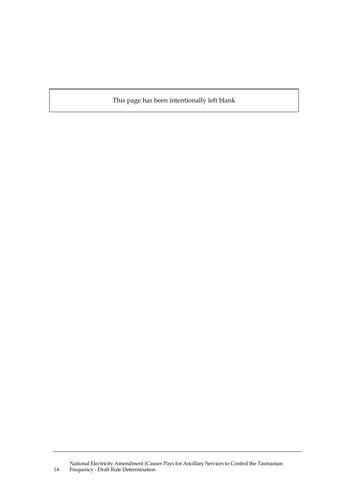This page has been intentionally left blank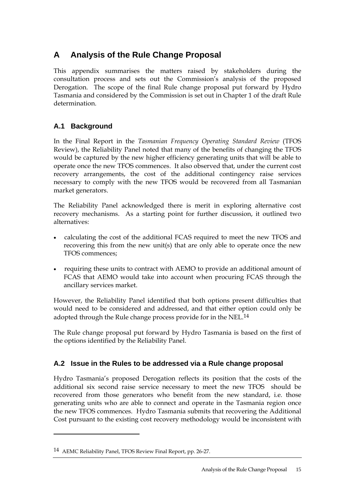# **A Analysis of the Rule Change Proposal**

This appendix summarises the matters raised by stakeholders during the consultation process and sets out the Commission's analysis of the proposed Derogation. The scope of the final Rule change proposal put forward by Hydro Tasmania and considered by the Commission is set out in Chapter 1 of the draft Rule determination.

# **A.1 Background**

In the Final Report in the *Tasmanian Frequency Operating Standard Review* (TFOS Review), the Reliability Panel noted that many of the benefits of changing the TFOS would be captured by the new higher efficiency generating units that will be able to operate once the new TFOS commences. It also observed that, under the current cost recovery arrangements, the cost of the additional contingency raise services necessary to comply with the new TFOS would be recovered from all Tasmanian market generators.

The Reliability Panel acknowledged there is merit in exploring alternative cost recovery mechanisms. As a starting point for further discussion, it outlined two alternatives:

- calculating the cost of the additional FCAS required to meet the new TFOS and recovering this from the new unit(s) that are only able to operate once the new TFOS commences;
- requiring these units to contract with AEMO to provide an additional amount of FCAS that AEMO would take into account when procuring FCAS through the ancillary services market.

However, the Reliability Panel identified that both options present difficulties that would need to be considered and addressed, and that either option could only be adopted through the Rule change process provide for in the NEL.14

The Rule change proposal put forward by Hydro Tasmania is based on the first of the options identified by the Reliability Panel.

# **A.2 Issue in the Rules to be addressed via a Rule change proposal**

Hydro Tasmania's proposed Derogation reflects its position that the costs of the additional six second raise service necessary to meet the new TFOS should be recovered from those generators who benefit from the new standard, i.e. those generating units who are able to connect and operate in the Tasmania region once the new TFOS commences. Hydro Tasmania submits that recovering the Additional Cost pursuant to the existing cost recovery methodology would be inconsistent with

<sup>14</sup> AEMC Reliability Panel, TFOS Review Final Report, pp. 26-27.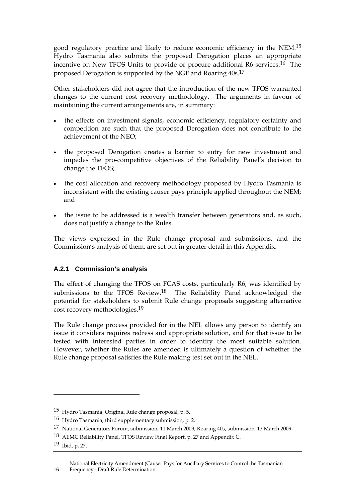good regulatory practice and likely to reduce economic efficiency in the NEM.15 Hydro Tasmania also submits the proposed Derogation places an appropriate incentive on New TFOS Units to provide or procure additional R6 services.<sup>16</sup> The proposed Derogation is supported by the NGF and Roaring 40s.17

Other stakeholders did not agree that the introduction of the new TFOS warranted changes to the current cost recovery methodology. The arguments in favour of maintaining the current arrangements are, in summary:

- the effects on investment signals, economic efficiency, regulatory certainty and competition are such that the proposed Derogation does not contribute to the achievement of the NEO;
- the proposed Derogation creates a barrier to entry for new investment and impedes the pro-competitive objectives of the Reliability Panel's decision to change the TFOS;
- the cost allocation and recovery methodology proposed by Hydro Tasmania is inconsistent with the existing causer pays principle applied throughout the NEM; and
- the issue to be addressed is a wealth transfer between generators and, as such, does not justify a change to the Rules.

The views expressed in the Rule change proposal and submissions, and the Commission's analysis of them, are set out in greater detail in this Appendix.

#### **A.2.1 Commission's analysis**

The effect of changing the TFOS on FCAS costs, particularly R6, was identified by submissions to the TFOS Review.18 The Reliability Panel acknowledged the potential for stakeholders to submit Rule change proposals suggesting alternative cost recovery methodologies.19

The Rule change process provided for in the NEL allows any person to identify an issue it considers requires redress and appropriate solution, and for that issue to be tested with interested parties in order to identify the most suitable solution. However, whether the Rules are amended is ultimately a question of whether the Rule change proposal satisfies the Rule making test set out in the NEL.

<sup>15</sup> Hydro Tasmania, Original Rule change proposal, p. 5.

<sup>16</sup> Hydro Tasmania, third supplementary submission, p. 2.

<sup>17</sup> National Generators Forum, submission, 11 March 2009; Roaring 40s, submission, 13 March 2009.

<sup>18</sup> AEMC Reliability Panel, TFOS Review Final Report, p. 27 and Appendix C.

<sup>19</sup> Ibid, p. 27.

<sup>16</sup> National Electricity Amendment (Causer Pays for Ancillary Services to Control the Tasmanian Frequency - Draft Rule Determination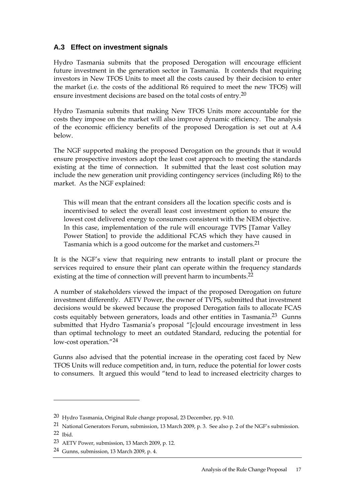## **A.3 Effect on investment signals**

Hydro Tasmania submits that the proposed Derogation will encourage efficient future investment in the generation sector in Tasmania. It contends that requiring investors in New TFOS Units to meet all the costs caused by their decision to enter the market (i.e. the costs of the additional R6 required to meet the new TFOS) will ensure investment decisions are based on the total costs of entry.20

Hydro Tasmania submits that making New TFOS Units more accountable for the costs they impose on the market will also improve dynamic efficiency. The analysis of the economic efficiency benefits of the proposed Derogation is set out at A.4 below.

The NGF supported making the proposed Derogation on the grounds that it would ensure prospective investors adopt the least cost approach to meeting the standards existing at the time of connection. It submitted that the least cost solution may include the new generation unit providing contingency services (including R6) to the market. As the NGF explained:

This will mean that the entrant considers all the location specific costs and is incentivised to select the overall least cost investment option to ensure the lowest cost delivered energy to consumers consistent with the NEM objective. In this case, implementation of the rule will encourage TVPS [Tamar Valley Power Station] to provide the additional FCAS which they have caused in Tasmania which is a good outcome for the market and customers.<sup>21</sup>

It is the NGF's view that requiring new entrants to install plant or procure the services required to ensure their plant can operate within the frequency standards existing at the time of connection will prevent harm to incumbents.<sup>22</sup>

A number of stakeholders viewed the impact of the proposed Derogation on future investment differently. AETV Power, the owner of TVPS, submitted that investment decisions would be skewed because the proposed Derogation fails to allocate FCAS costs equitably between generators, loads and other entities in Tasmania.23 Gunns submitted that Hydro Tasmania's proposal "[c]ould encourage investment in less than optimal technology to meet an outdated Standard, reducing the potential for low-cost operation."24

Gunns also advised that the potential increase in the operating cost faced by New TFOS Units will reduce competition and, in turn, reduce the potential for lower costs to consumers. It argued this would "tend to lead to increased electricity charges to

<sup>20</sup> Hydro Tasmania, Original Rule change proposal, 23 December, pp. 9-10.

<sup>21</sup> National Generators Forum, submission, 13 March 2009, p. 3. See also p. 2 of the NGF's submission. 22 Ibid.

<sup>23</sup> AETV Power, submission, 13 March 2009, p. 12.

<sup>24</sup> Gunns, submission, 13 March 2009, p. 4.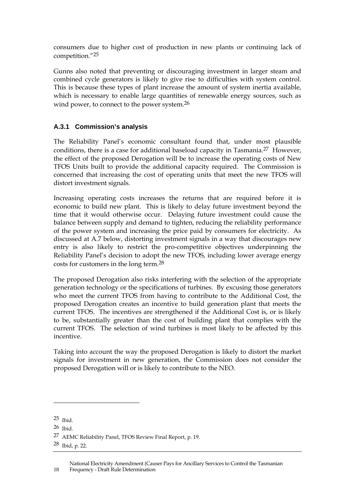consumers due to higher cost of production in new plants or continuing lack of competition."25

Gunns also noted that preventing or discouraging investment in larger steam and combined cycle generators is likely to give rise to difficulties with system control. This is because these types of plant increase the amount of system inertia available, which is necessary to enable large quantities of renewable energy sources, such as wind power, to connect to the power system.<sup>26</sup>

### **A.3.1 Commission's analysis**

The Reliability Panel's economic consultant found that, under most plausible conditions, there is a case for additional baseload capacity in Tasmania.27 However, the effect of the proposed Derogation will be to increase the operating costs of New TFOS Units built to provide the additional capacity required. The Commission is concerned that increasing the cost of operating units that meet the new TFOS will distort investment signals.

Increasing operating costs increases the returns that are required before it is economic to build new plant. This is likely to delay future investment beyond the time that it would otherwise occur. Delaying future investment could cause the balance between supply and demand to tighten, reducing the reliability performance of the power system and increasing the price paid by consumers for electricity. As discussed at A.7 below, distorting investment signals in a way that discourages new entry is also likely to restrict the pro-competitive objectives underpinning the Reliability Panel's decision to adopt the new TFOS, including lower average energy costs for customers in the long term.28

The proposed Derogation also risks interfering with the selection of the appropriate generation technology or the specifications of turbines. By excusing those generators who meet the current TFOS from having to contribute to the Additional Cost, the proposed Derogation creates an incentive to build generation plant that meets the current TFOS. The incentives are strengthened if the Additional Cost is, or is likely to be, substantially greater than the cost of building plant that complies with the current TFOS. The selection of wind turbines is most likely to be affected by this incentive.

Taking into account the way the proposed Derogation is likely to distort the market signals for investment in new generation, the Commission does not consider the proposed Derogation will or is likely to contribute to the NEO.

 $25$  Ibid.

<sup>26</sup> Ibid.

<sup>27</sup> AEMC Reliability Panel, TFOS Review Final Report, p. 19.

<sup>28</sup> Ibid, p. 22.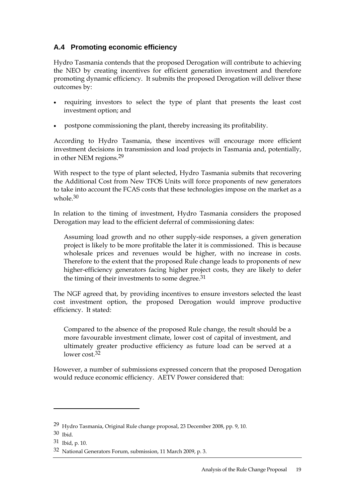# **A.4 Promoting economic efficiency**

Hydro Tasmania contends that the proposed Derogation will contribute to achieving the NEO by creating incentives for efficient generation investment and therefore promoting dynamic efficiency. It submits the proposed Derogation will deliver these outcomes by:

- requiring investors to select the type of plant that presents the least cost investment option; and
- postpone commissioning the plant, thereby increasing its profitability.

According to Hydro Tasmania, these incentives will encourage more efficient investment decisions in transmission and load projects in Tasmania and, potentially, in other NEM regions.29

With respect to the type of plant selected, Hydro Tasmania submits that recovering the Additional Cost from New TFOS Units will force proponents of new generators to take into account the FCAS costs that these technologies impose on the market as a whole  $30$ 

In relation to the timing of investment, Hydro Tasmania considers the proposed Derogation may lead to the efficient deferral of commissioning dates:

Assuming load growth and no other supply-side responses, a given generation project is likely to be more profitable the later it is commissioned. This is because wholesale prices and revenues would be higher, with no increase in costs. Therefore to the extent that the proposed Rule change leads to proponents of new higher-efficiency generators facing higher project costs, they are likely to defer the timing of their investments to some degree. $31$ 

The NGF agreed that, by providing incentives to ensure investors selected the least cost investment option, the proposed Derogation would improve productive efficiency. It stated:

Compared to the absence of the proposed Rule change, the result should be a more favourable investment climate, lower cost of capital of investment, and ultimately greater productive efficiency as future load can be served at a lower cost.32

However, a number of submissions expressed concern that the proposed Derogation would reduce economic efficiency. AETV Power considered that:

<sup>29</sup> Hydro Tasmania, Original Rule change proposal, 23 December 2008, pp. 9, 10.

<sup>30</sup> Ibid.

<sup>31</sup> Ibid, p. 10.

<sup>32</sup> National Generators Forum, submission, 11 March 2009, p. 3.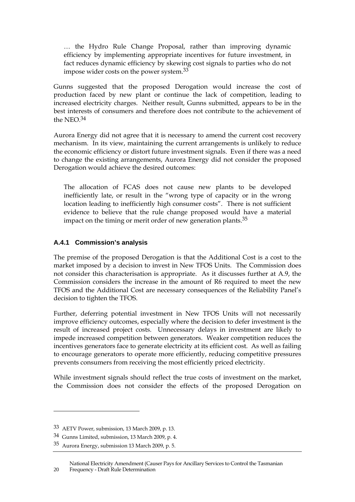… the Hydro Rule Change Proposal, rather than improving dynamic efficiency by implementing appropriate incentives for future investment, in fact reduces dynamic efficiency by skewing cost signals to parties who do not impose wider costs on the power system.33

Gunns suggested that the proposed Derogation would increase the cost of production faced by new plant or continue the lack of competition, leading to increased electricity charges. Neither result, Gunns submitted, appears to be in the best interests of consumers and therefore does not contribute to the achievement of the NEO  $34$ 

Aurora Energy did not agree that it is necessary to amend the current cost recovery mechanism. In its view, maintaining the current arrangements is unlikely to reduce the economic efficiency or distort future investment signals. Even if there was a need to change the existing arrangements, Aurora Energy did not consider the proposed Derogation would achieve the desired outcomes:

The allocation of FCAS does not cause new plants to be developed inefficiently late, or result in the "wrong type of capacity or in the wrong location leading to inefficiently high consumer costs". There is not sufficient evidence to believe that the rule change proposed would have a material impact on the timing or merit order of new generation plants.  $35$ 

### **A.4.1 Commission's analysis**

The premise of the proposed Derogation is that the Additional Cost is a cost to the market imposed by a decision to invest in New TFOS Units. The Commission does not consider this characterisation is appropriate. As it discusses further at A.9, the Commission considers the increase in the amount of R6 required to meet the new TFOS and the Additional Cost are necessary consequences of the Reliability Panel's decision to tighten the TFOS.

Further, deferring potential investment in New TFOS Units will not necessarily improve efficiency outcomes, especially where the decision to defer investment is the result of increased project costs. Unnecessary delays in investment are likely to impede increased competition between generators. Weaker competition reduces the incentives generators face to generate electricity at its efficient cost. As well as failing to encourage generators to operate more efficiently, reducing competitive pressures prevents consumers from receiving the most efficiently priced electricity.

While investment signals should reflect the true costs of investment on the market, the Commission does not consider the effects of the proposed Derogation on

<sup>33</sup> AETV Power, submission, 13 March 2009, p. 13.

<sup>34</sup> Gunns Limited, submission, 13 March 2009, p. 4.

<sup>35</sup> Aurora Energy, submission 13 March 2009, p. 5.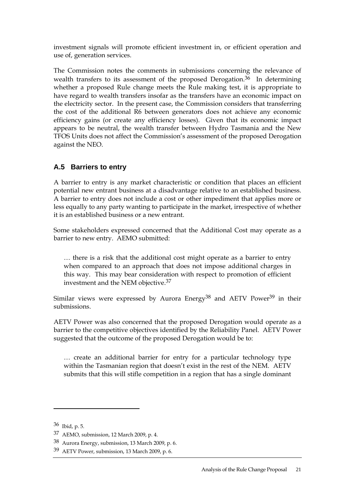investment signals will promote efficient investment in, or efficient operation and use of, generation services.

The Commission notes the comments in submissions concerning the relevance of wealth transfers to its assessment of the proposed Derogation.<sup>36</sup> In determining whether a proposed Rule change meets the Rule making test, it is appropriate to have regard to wealth transfers insofar as the transfers have an economic impact on the electricity sector. In the present case, the Commission considers that transferring the cost of the additional R6 between generators does not achieve any economic efficiency gains (or create any efficiency losses). Given that its economic impact appears to be neutral, the wealth transfer between Hydro Tasmania and the New TFOS Units does not affect the Commission's assessment of the proposed Derogation against the NEO.

# **A.5 Barriers to entry**

A barrier to entry is any market characteristic or condition that places an efficient potential new entrant business at a disadvantage relative to an established business. A barrier to entry does not include a cost or other impediment that applies more or less equally to any party wanting to participate in the market, irrespective of whether it is an established business or a new entrant.

Some stakeholders expressed concerned that the Additional Cost may operate as a barrier to new entry. AEMO submitted:

… there is a risk that the additional cost might operate as a barrier to entry when compared to an approach that does not impose additional charges in this way. This may bear consideration with respect to promotion of efficient investment and the NEM objective.37

Similar views were expressed by Aurora Energy<sup>38</sup> and AETV Power<sup>39</sup> in their submissions.

AETV Power was also concerned that the proposed Derogation would operate as a barrier to the competitive objectives identified by the Reliability Panel. AETV Power suggested that the outcome of the proposed Derogation would be to:

… create an additional barrier for entry for a particular technology type within the Tasmanian region that doesn't exist in the rest of the NEM. AETV submits that this will stifle competition in a region that has a single dominant

<sup>36</sup> Ibid, p. 5.

<sup>37</sup> AEMO, submission, 12 March 2009, p. 4.

<sup>38</sup> Aurora Energy, submission, 13 March 2009, p. 6.

<sup>39</sup> AETV Power, submission, 13 March 2009, p. 6.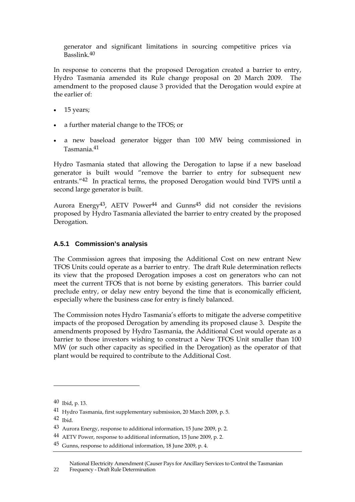generator and significant limitations in sourcing competitive prices via Basslink.40

In response to concerns that the proposed Derogation created a barrier to entry, Hydro Tasmania amended its Rule change proposal on 20 March 2009. The amendment to the proposed clause 3 provided that the Derogation would expire at the earlier of:

- 15 years;
- a further material change to the TFOS; or
- a new baseload generator bigger than 100 MW being commissioned in Tasmania.41

Hydro Tasmania stated that allowing the Derogation to lapse if a new baseload generator is built would "remove the barrier to entry for subsequent new entrants."42 In practical terms, the proposed Derogation would bind TVPS until a second large generator is built.

Aurora Energy<sup>43</sup>, AETV Power<sup>44</sup> and Gunns<sup>45</sup> did not consider the revisions proposed by Hydro Tasmania alleviated the barrier to entry created by the proposed Derogation.

#### **A.5.1 Commission's analysis**

The Commission agrees that imposing the Additional Cost on new entrant New TFOS Units could operate as a barrier to entry. The draft Rule determination reflects its view that the proposed Derogation imposes a cost on generators who can not meet the current TFOS that is not borne by existing generators. This barrier could preclude entry, or delay new entry beyond the time that is economically efficient, especially where the business case for entry is finely balanced.

The Commission notes Hydro Tasmania's efforts to mitigate the adverse competitive impacts of the proposed Derogation by amending its proposed clause 3. Despite the amendments proposed by Hydro Tasmania, the Additional Cost would operate as a barrier to those investors wishing to construct a New TFOS Unit smaller than 100 MW (or such other capacity as specified in the Derogation) as the operator of that plant would be required to contribute to the Additional Cost.

 $42$  Ibid.

<sup>40</sup> Ibid, p. 13.

<sup>41</sup> Hydro Tasmania, first supplementary submission, 20 March 2009, p. 5.

<sup>43</sup> Aurora Energy, response to additional information, 15 June 2009, p. 2.

<sup>44</sup> AETV Power, response to additional information, 15 June 2009, p. 2.

<sup>45</sup> Gunns, response to additional information, 18 June 2009, p. 4.

<sup>22</sup> National Electricity Amendment (Causer Pays for Ancillary Services to Control the Tasmanian Frequency - Draft Rule Determination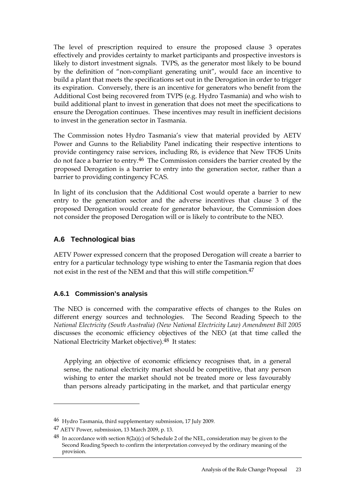The level of prescription required to ensure the proposed clause 3 operates effectively and provides certainty to market participants and prospective investors is likely to distort investment signals. TVPS, as the generator most likely to be bound by the definition of "non-compliant generating unit", would face an incentive to build a plant that meets the specifications set out in the Derogation in order to trigger its expiration. Conversely, there is an incentive for generators who benefit from the Additional Cost being recovered from TVPS (e.g. Hydro Tasmania) and who wish to build additional plant to invest in generation that does not meet the specifications to ensure the Derogation continues. These incentives may result in inefficient decisions to invest in the generation sector in Tasmania.

The Commission notes Hydro Tasmania's view that material provided by AETV Power and Gunns to the Reliability Panel indicating their respective intentions to provide contingency raise services, including R6, is evidence that New TFOS Units do not face a barrier to entry.46 The Commission considers the barrier created by the proposed Derogation is a barrier to entry into the generation sector, rather than a barrier to providing contingency FCAS.

In light of its conclusion that the Additional Cost would operate a barrier to new entry to the generation sector and the adverse incentives that clause 3 of the proposed Derogation would create for generator behaviour, the Commission does not consider the proposed Derogation will or is likely to contribute to the NEO.

# **A.6 Technological bias**

AETV Power expressed concern that the proposed Derogation will create a barrier to entry for a particular technology type wishing to enter the Tasmania region that does not exist in the rest of the NEM and that this will stifle competition.47

## **A.6.1 Commission's analysis**

The NEO is concerned with the comparative effects of changes to the Rules on different energy sources and technologies. The Second Reading Speech to the *National Electricity (South Australia) (New National Electricity Law) Amendment Bill 2005* discusses the economic efficiency objectives of the NEO (at that time called the National Electricity Market objective).48 It states:

Applying an objective of economic efficiency recognises that, in a general sense, the national electricity market should be competitive, that any person wishing to enter the market should not be treated more or less favourably than persons already participating in the market, and that particular energy

<sup>46</sup> Hydro Tasmania, third supplementary submission, 17 July 2009.

<sup>47</sup> AETV Power, submission, 13 March 2009, p. 13.

 $48$  In accordance with section 8(2a)(c) of Schedule 2 of the NEL, consideration may be given to the Second Reading Speech to confirm the interpretation conveyed by the ordinary meaning of the provision.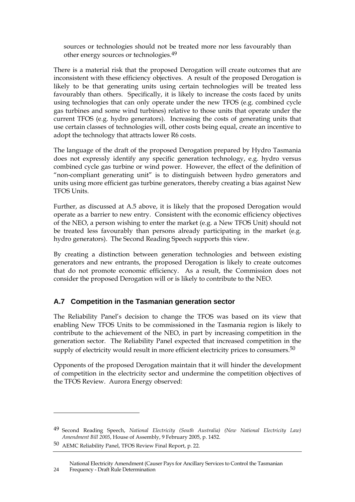sources or technologies should not be treated more nor less favourably than other energy sources or technologies.49

There is a material risk that the proposed Derogation will create outcomes that are inconsistent with these efficiency objectives. A result of the proposed Derogation is likely to be that generating units using certain technologies will be treated less favourably than others. Specifically, it is likely to increase the costs faced by units using technologies that can only operate under the new TFOS (e.g. combined cycle gas turbines and some wind turbines) relative to those units that operate under the current TFOS (e.g. hydro generators). Increasing the costs of generating units that use certain classes of technologies will, other costs being equal, create an incentive to adopt the technology that attracts lower R6 costs.

The language of the draft of the proposed Derogation prepared by Hydro Tasmania does not expressly identify any specific generation technology, e.g. hydro versus combined cycle gas turbine or wind power. However, the effect of the definition of "non-compliant generating unit" is to distinguish between hydro generators and units using more efficient gas turbine generators, thereby creating a bias against New TFOS Units.

Further, as discussed at A.5 above, it is likely that the proposed Derogation would operate as a barrier to new entry. Consistent with the economic efficiency objectives of the NEO, a person wishing to enter the market (e.g. a New TFOS Unit) should not be treated less favourably than persons already participating in the market (e.g. hydro generators). The Second Reading Speech supports this view.

By creating a distinction between generation technologies and between existing generators and new entrants, the proposed Derogation is likely to create outcomes that do not promote economic efficiency. As a result, the Commission does not consider the proposed Derogation will or is likely to contribute to the NEO.

## **A.7 Competition in the Tasmanian generation sector**

The Reliability Panel's decision to change the TFOS was based on its view that enabling New TFOS Units to be commissioned in the Tasmania region is likely to contribute to the achievement of the NEO, in part by increasing competition in the generation sector. The Reliability Panel expected that increased competition in the supply of electricity would result in more efficient electricity prices to consumers.<sup>50</sup>

Opponents of the proposed Derogation maintain that it will hinder the development of competition in the electricity sector and undermine the competition objectives of the TFOS Review. Aurora Energy observed:

<sup>49</sup> Second Reading Speech, *National Electricity (South Australia) (New National Electricity Law) Amendment Bill 2005*, House of Assembly, 9 February 2005, p. 1452.

<sup>50</sup> AEMC Reliability Panel, TFOS Review Final Report, p. 22.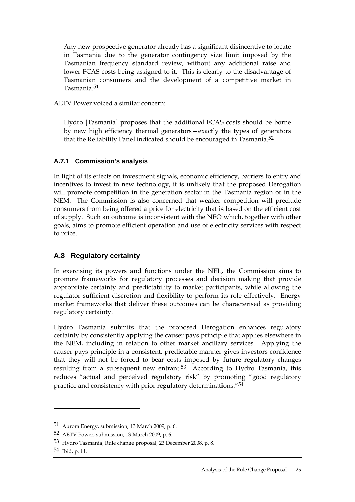Any new prospective generator already has a significant disincentive to locate in Tasmania due to the generator contingency size limit imposed by the Tasmanian frequency standard review, without any additional raise and lower FCAS costs being assigned to it. This is clearly to the disadvantage of Tasmanian consumers and the development of a competitive market in Tasmania.51

AETV Power voiced a similar concern:

Hydro [Tasmania] proposes that the additional FCAS costs should be borne by new high efficiency thermal generators—exactly the types of generators that the Reliability Panel indicated should be encouraged in Tasmania.52

### **A.7.1 Commission's analysis**

In light of its effects on investment signals, economic efficiency, barriers to entry and incentives to invest in new technology, it is unlikely that the proposed Derogation will promote competition in the generation sector in the Tasmania region or in the NEM. The Commission is also concerned that weaker competition will preclude consumers from being offered a price for electricity that is based on the efficient cost of supply. Such an outcome is inconsistent with the NEO which, together with other goals, aims to promote efficient operation and use of electricity services with respect to price.

# **A.8 Regulatory certainty**

In exercising its powers and functions under the NEL, the Commission aims to promote frameworks for regulatory processes and decision making that provide appropriate certainty and predictability to market participants, while allowing the regulator sufficient discretion and flexibility to perform its role effectively. Energy market frameworks that deliver these outcomes can be characterised as providing regulatory certainty.

Hydro Tasmania submits that the proposed Derogation enhances regulatory certainty by consistently applying the causer pays principle that applies elsewhere in the NEM, including in relation to other market ancillary services. Applying the causer pays principle in a consistent, predictable manner gives investors confidence that they will not be forced to bear costs imposed by future regulatory changes resulting from a subsequent new entrant.<sup>53</sup> According to Hydro Tasmania, this reduces "actual and perceived regulatory risk" by promoting "good regulatory practice and consistency with prior regulatory determinations."54

<sup>51</sup> Aurora Energy, submission, 13 March 2009, p. 6.

<sup>52</sup> AETV Power, submission, 13 March 2009, p. 6.

<sup>53</sup> Hydro Tasmania, Rule change proposal, 23 December 2008, p. 8.

<sup>54</sup> Ibid, p. 11.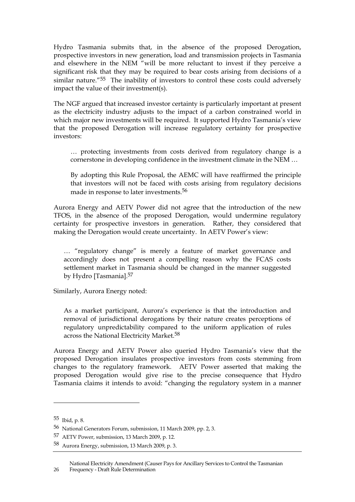Hydro Tasmania submits that, in the absence of the proposed Derogation, prospective investors in new generation, load and transmission projects in Tasmania and elsewhere in the NEM "will be more reluctant to invest if they perceive a significant risk that they may be required to bear costs arising from decisions of a similar nature."55 The inability of investors to control these costs could adversely impact the value of their investment(s).

The NGF argued that increased investor certainty is particularly important at present as the electricity industry adjusts to the impact of a carbon constrained world in which major new investments will be required. It supported Hydro Tasmania's view that the proposed Derogation will increase regulatory certainty for prospective investors:

… protecting investments from costs derived from regulatory change is a cornerstone in developing confidence in the investment climate in the NEM …

By adopting this Rule Proposal, the AEMC will have reaffirmed the principle that investors will not be faced with costs arising from regulatory decisions made in response to later investments.<sup>56</sup>

Aurora Energy and AETV Power did not agree that the introduction of the new TFOS, in the absence of the proposed Derogation, would undermine regulatory certainty for prospective investors in generation. Rather, they considered that making the Derogation would create uncertainty. In AETV Power's view:

… "regulatory change" is merely a feature of market governance and accordingly does not present a compelling reason why the FCAS costs settlement market in Tasmania should be changed in the manner suggested by Hydro [Tasmania].57

Similarly, Aurora Energy noted:

As a market participant, Aurora's experience is that the introduction and removal of jurisdictional derogations by their nature creates perceptions of regulatory unpredictability compared to the uniform application of rules across the National Electricity Market.58

Aurora Energy and AETV Power also queried Hydro Tasmania's view that the proposed Derogation insulates prospective investors from costs stemming from changes to the regulatory framework. AETV Power asserted that making the proposed Derogation would give rise to the precise consequence that Hydro Tasmania claims it intends to avoid: "changing the regulatory system in a manner

<sup>55</sup> Ibid, p. 8.

<sup>56</sup> National Generators Forum, submission, 11 March 2009, pp. 2, 3.

<sup>57</sup> AETV Power, submission, 13 March 2009, p. 12.

<sup>58</sup> Aurora Energy, submission, 13 March 2009, p. 3.

 $26$ National Electricity Amendment (Causer Pays for Ancillary Services to Control the Tasmanian Frequency - Draft Rule Determination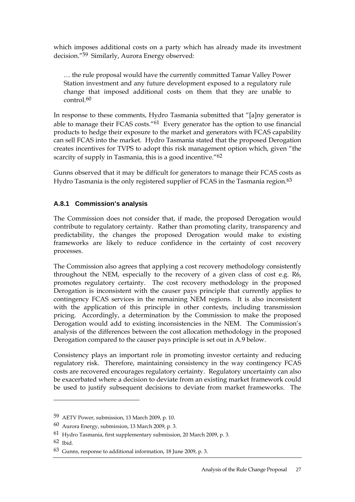which imposes additional costs on a party which has already made its investment decision."59 Similarly, Aurora Energy observed:

… the rule proposal would have the currently committed Tamar Valley Power Station investment and any future development exposed to a regulatory rule change that imposed additional costs on them that they are unable to control.60

In response to these comments, Hydro Tasmania submitted that "[a]ny generator is able to manage their FCAS costs."61 Every generator has the option to use financial products to hedge their exposure to the market and generators with FCAS capability can sell FCAS into the market. Hydro Tasmania stated that the proposed Derogation creates incentives for TVPS to adopt this risk management option which, given "the scarcity of supply in Tasmania, this is a good incentive."<sup>62</sup>

Gunns observed that it may be difficult for generators to manage their FCAS costs as Hydro Tasmania is the only registered supplier of FCAS in the Tasmania region.<sup>63</sup>

### **A.8.1 Commission's analysis**

The Commission does not consider that, if made, the proposed Derogation would contribute to regulatory certainty. Rather than promoting clarity, transparency and predictability, the changes the proposed Derogation would make to existing frameworks are likely to reduce confidence in the certainty of cost recovery processes.

The Commission also agrees that applying a cost recovery methodology consistently throughout the NEM, especially to the recovery of a given class of cost e.g. R6, promotes regulatory certainty. The cost recovery methodology in the proposed Derogation is inconsistent with the causer pays principle that currently applies to contingency FCAS services in the remaining NEM regions. It is also inconsistent with the application of this principle in other contexts, including transmission pricing. Accordingly, a determination by the Commission to make the proposed Derogation would add to existing inconsistencies in the NEM. The Commission's analysis of the differences between the cost allocation methodology in the proposed Derogation compared to the causer pays principle is set out in A.9 below.

Consistency plays an important role in promoting investor certainty and reducing regulatory risk. Therefore, maintaining consistency in the way contingency FCAS costs are recovered encourages regulatory certainty. Regulatory uncertainty can also be exacerbated where a decision to deviate from an existing market framework could be used to justify subsequent decisions to deviate from market frameworks. The

<sup>59</sup> AETV Power, submission, 13 March 2009, p. 10.

<sup>60</sup> Aurora Energy, submission, 13 March 2009, p. 3.

<sup>61</sup> Hydro Tasmania, first supplementary submission, 20 March 2009, p. 3.

<sup>62</sup> Ibid.

<sup>63</sup> Gunns, response to additional information, 18 June 2009, p. 3.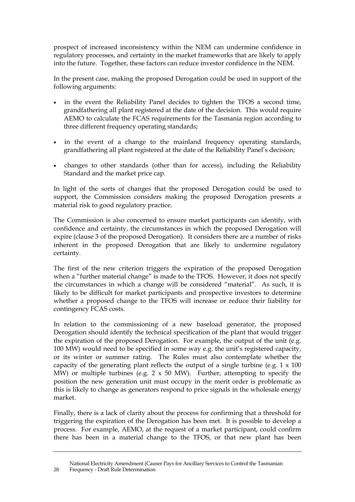prospect of increased inconsistency within the NEM can undermine confidence in regulatory processes, and certainty in the market frameworks that are likely to apply into the future. Together, these factors can reduce investor confidence in the NEM.

In the present case, making the proposed Derogation could be used in support of the following arguments:

- in the event the Reliability Panel decides to tighten the TFOS a second time, grandfathering all plant registered at the date of the decision. This would require AEMO to calculate the FCAS requirements for the Tasmania region according to three different frequency operating standards;
- in the event of a change to the mainland frequency operating standards, grandfathering all plant registered at the date of the Reliability Panel's decision;
- changes to other standards (other than for access), including the Reliability Standard and the market price cap.

In light of the sorts of changes that the proposed Derogation could be used to support, the Commission considers making the proposed Derogation presents a material risk to good regulatory practice.

The Commission is also concerned to ensure market participants can identify, with confidence and certainty, the circumstances in which the proposed Derogation will expire (clause 3 of the proposed Derogation). It considers there are a number of risks inherent in the proposed Derogation that are likely to undermine regulatory certainty.

The first of the new criterion triggers the expiration of the proposed Derogation when a "further material change" is made to the TFOS. However, it does not specify the circumstances in which a change will be considered "material". As such, it is likely to be difficult for market participants and prospective investors to determine whether a proposed change to the TFOS will increase or reduce their liability for contingency FCAS costs.

In relation to the commissioning of a new baseload generator, the proposed Derogation should identify the technical specification of the plant that would trigger the expiration of the proposed Derogation. For example, the output of the unit (e.g. 100 MW) would need to be specified in some way e.g. the unit's registered capacity, or its winter or summer rating. The Rules must also contemplate whether the capacity of the generating plant reflects the output of a single turbine (e.g.  $1 \times 100$ ) MW) or multiple turbines (e.g.  $2 \times 50$  MW). Further, attempting to specify the position the new generation unit must occupy in the merit order is problematic as this is likely to change as generators respond to price signals in the wholesale energy market.

Finally, there is a lack of clarity about the process for confirming that a threshold for triggering the expiration of the Derogation has been met. It is possible to develop a process. For example, AEMO, at the request of a market participant, could confirm there has been in a material change to the TFOS, or that new plant has been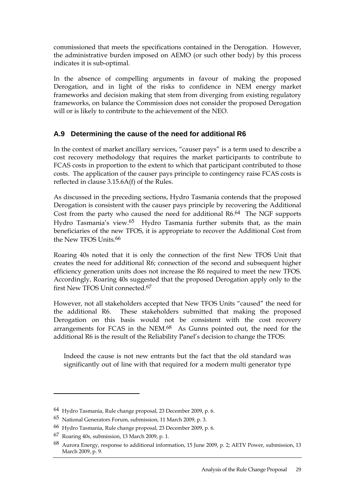commissioned that meets the specifications contained in the Derogation. However, the administrative burden imposed on AEMO (or such other body) by this process indicates it is sub-optimal.

In the absence of compelling arguments in favour of making the proposed Derogation, and in light of the risks to confidence in NEM energy market frameworks and decision making that stem from diverging from existing regulatory frameworks, on balance the Commission does not consider the proposed Derogation will or is likely to contribute to the achievement of the NEO.

## **A.9 Determining the cause of the need for additional R6**

In the context of market ancillary services, "causer pays" is a term used to describe a cost recovery methodology that requires the market participants to contribute to FCAS costs in proportion to the extent to which that participant contributed to those costs. The application of the causer pays principle to contingency raise FCAS costs is reflected in clause 3.15.6A(f) of the Rules.

As discussed in the preceding sections, Hydro Tasmania contends that the proposed Derogation is consistent with the causer pays principle by recovering the Additional Cost from the party who caused the need for additional R6.64 The NGF supports Hydro Tasmania's view.65 Hydro Tasmania further submits that, as the main beneficiaries of the new TFOS, it is appropriate to recover the Additional Cost from the New TFOS Units.<sup>66</sup>

Roaring 40s noted that it is only the connection of the first New TFOS Unit that creates the need for additional R6; connection of the second and subsequent higher efficiency generation units does not increase the R6 required to meet the new TFOS. Accordingly, Roaring 40s suggested that the proposed Derogation apply only to the first New TFOS Unit connected.<sup>67</sup>

However, not all stakeholders accepted that New TFOS Units "caused" the need for the additional R6. These stakeholders submitted that making the proposed Derogation on this basis would not be consistent with the cost recovery arrangements for FCAS in the NEM.68 As Gunns pointed out, the need for the additional R6 is the result of the Reliability Panel's decision to change the TFOS:

Indeed the cause is not new entrants but the fact that the old standard was significantly out of line with that required for a modern multi generator type

<sup>64</sup> Hydro Tasmania, Rule change proposal, 23 December 2009, p. 6.

<sup>65</sup> National Generators Forum, submission, 11 March 2009, p. 3.

<sup>66</sup> Hydro Tasmania, Rule change proposal, 23 December 2009, p. 6.

<sup>67</sup> Roaring 40s, submission, 13 March 2009, p. 1.

<sup>68</sup> Aurora Energy, response to additional information, 15 June 2009, p. 2; AETV Power, submission, 13 March 2009, p. 9.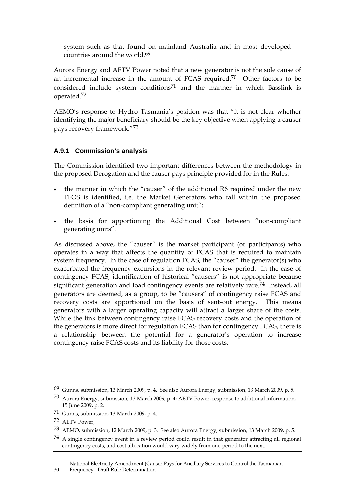system such as that found on mainland Australia and in most developed countries around the world.69

Aurora Energy and AETV Power noted that a new generator is not the sole cause of an incremental increase in the amount of FCAS required.70 Other factors to be considered include system conditions<sup>71</sup> and the manner in which Basslink is operated.72

AEMO's response to Hydro Tasmania's position was that "it is not clear whether identifying the major beneficiary should be the key objective when applying a causer pays recovery framework."73

#### **A.9.1 Commission's analysis**

The Commission identified two important differences between the methodology in the proposed Derogation and the causer pays principle provided for in the Rules:

- the manner in which the "causer" of the additional R6 required under the new TFOS is identified, i.e. the Market Generators who fall within the proposed definition of a "non-compliant generating unit";
- the basis for apportioning the Additional Cost between "non-compliant generating units".

As discussed above, the "causer" is the market participant (or participants) who operates in a way that affects the quantity of FCAS that is required to maintain system frequency. In the case of regulation FCAS, the "causer" the generator(s) who exacerbated the frequency excursions in the relevant review period. In the case of contingency FCAS, identification of historical "causers" is not appropriate because significant generation and load contingency events are relatively rare.74 Instead, all generators are deemed, as a group, to be "causers" of contingency raise FCAS and recovery costs are apportioned on the basis of sent-out energy. This means generators with a larger operating capacity will attract a larger share of the costs. While the link between contingency raise FCAS recovery costs and the operation of the generators is more direct for regulation FCAS than for contingency FCAS, there is a relationship between the potential for a generator's operation to increase contingency raise FCAS costs and its liability for those costs.

<sup>69</sup> Gunns, submission, 13 March 2009, p. 4. See also Aurora Energy, submission, 13 March 2009, p. 5.

<sup>70</sup> Aurora Energy, submission, 13 March 2009, p. 4; AETV Power, response to additional information, 15 June 2009, p. 2.

<sup>71</sup> Gunns, submission, 13 March 2009, p. 4.

<sup>72</sup> AETV Power,

<sup>73</sup> AEMO, submission, 12 March 2009, p. 3. See also Aurora Energy, submission, 13 March 2009, p. 5.

<sup>74</sup> A single contingency event in a review period could result in that generator attracting all regional contingency costs, and cost allocation would vary widely from one period to the next.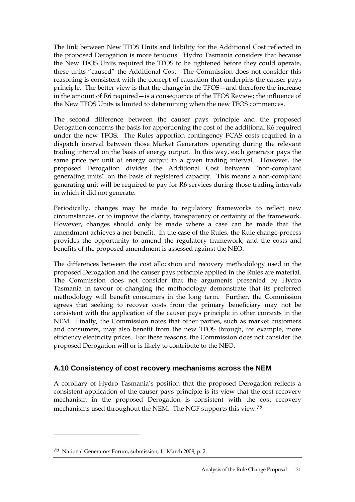The link between New TFOS Units and liability for the Additional Cost reflected in the proposed Derogation is more tenuous. Hydro Tasmania considers that because the New TFOS Units required the TFOS to be tightened before they could operate, these units "caused" the Additional Cost. The Commission does not consider this reasoning is consistent with the concept of causation that underpins the causer pays principle. The better view is that the change in the TFOS—and therefore the increase in the amount of R6 required—is a consequence of the TFOS Review; the influence of the New TFOS Units is limited to determining when the new TFOS commences.

The second difference between the causer pays principle and the proposed Derogation concerns the basis for apportioning the cost of the additional R6 required under the new TFOS. The Rules apportion contingency FCAS costs required in a dispatch interval between those Market Generators operating during the relevant trading interval on the basis of energy output. In this way, each generator pays the same price per unit of energy output in a given trading interval. However, the proposed Derogation divides the Additional Cost between "non-compliant generating units" on the basis of registered capacity. This means a non-compliant generating unit will be required to pay for R6 services during those trading intervals in which it did not generate.

Periodically, changes may be made to regulatory frameworks to reflect new circumstances, or to improve the clarity, transparency or certainty of the framework. However, changes should only be made where a case can be made that the amendment achieves a net benefit. In the case of the Rules, the Rule change process provides the opportunity to amend the regulatory framework, and the costs and benefits of the proposed amendment is assessed against the NEO.

The differences between the cost allocation and recovery methodology used in the proposed Derogation and the causer pays principle applied in the Rules are material. The Commission does not consider that the arguments presented by Hydro Tasmania in favour of changing the methodology demonstrate that its preferred methodology will benefit consumers in the long term. Further, the Commission agrees that seeking to recover costs from the primary beneficiary may not be consistent with the application of the causer pays principle in other contexts in the NEM. Finally, the Commission notes that other parties, such as market customers and consumers, may also benefit from the new TFOS through, for example, more efficiency electricity prices. For these reasons, the Commission does not consider the proposed Derogation will or is likely to contribute to the NEO.

## **A.10 Consistency of cost recovery mechanisms across the NEM**

A corollary of Hydro Tasmania's position that the proposed Derogation reflects a consistent application of the causer pays principle is its view that the cost recovery mechanism in the proposed Derogation is consistent with the cost recovery mechanisms used throughout the NEM. The NGF supports this view.75

<sup>75</sup> National Generators Forum, submission, 11 March 2009, p. 2.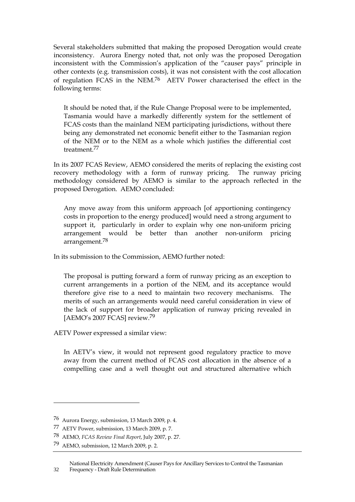Several stakeholders submitted that making the proposed Derogation would create inconsistency. Aurora Energy noted that, not only was the proposed Derogation inconsistent with the Commission's application of the "causer pays" principle in other contexts (e.g. transmission costs), it was not consistent with the cost allocation of regulation FCAS in the NEM.76 AETV Power characterised the effect in the following terms:

It should be noted that, if the Rule Change Proposal were to be implemented, Tasmania would have a markedly differently system for the settlement of FCAS costs than the mainland NEM participating jurisdictions, without there being any demonstrated net economic benefit either to the Tasmanian region of the NEM or to the NEM as a whole which justifies the differential cost treatment<sup>77</sup>

In its 2007 FCAS Review, AEMO considered the merits of replacing the existing cost recovery methodology with a form of runway pricing. The runway pricing methodology considered by AEMO is similar to the approach reflected in the proposed Derogation. AEMO concluded:

Any move away from this uniform approach [of apportioning contingency costs in proportion to the energy produced] would need a strong argument to support it, particularly in order to explain why one non-uniform pricing arrangement would be better than another non-uniform pricing arrangement.78

In its submission to the Commission, AEMO further noted:

The proposal is putting forward a form of runway pricing as an exception to current arrangements in a portion of the NEM, and its acceptance would therefore give rise to a need to maintain two recovery mechanisms. The merits of such an arrangements would need careful consideration in view of the lack of support for broader application of runway pricing revealed in [AEMO's 2007 FCAS] review.79

AETV Power expressed a similar view:

In AETV's view, it would not represent good regulatory practice to move away from the current method of FCAS cost allocation in the absence of a compelling case and a well thought out and structured alternative which

<sup>76</sup> Aurora Energy, submission, 13 March 2009, p. 4.

<sup>77</sup> AETV Power, submission, 13 March 2009, p. 7.

<sup>78</sup> AEMO, *FCAS Review Final Report*, July 2007, p. 27.

<sup>79</sup> AEMO, submission, 12 March 2009, p. 2.